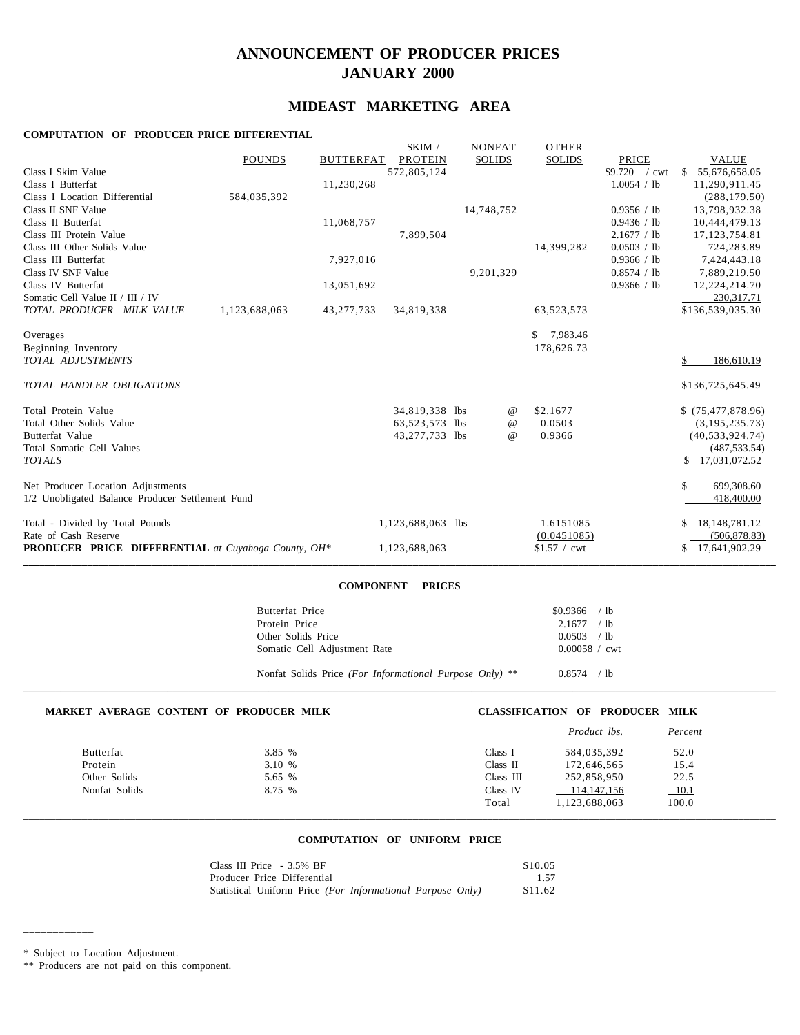# **ANNOUNCEMENT OF PRODUCER PRICES JANUARY 2000**

# **MIDEAST MARKETING AREA**

### **COMPUTATION OF PRODUCER PRICE DIFFERENTIAL**

|                                                            |               |                  | SKIM /            | <b>NONFAT</b> |                 | <b>OTHER</b>             |                                |                     |
|------------------------------------------------------------|---------------|------------------|-------------------|---------------|-----------------|--------------------------|--------------------------------|---------------------|
|                                                            | <b>POUNDS</b> | <b>BUTTERFAT</b> | <b>PROTEIN</b>    | <b>SOLIDS</b> |                 | <b>SOLIDS</b>            | PRICE                          | <b>VALUE</b>        |
| Class I Skim Value                                         |               |                  | 572,805,124       |               |                 |                          | \$9.720<br>$\sqrt{\text{cwt}}$ | 55,676,658.05<br>-S |
| Class I Butterfat                                          |               | 11,230,268       |                   |               |                 |                          | 1.0054 / lb                    | 11,290,911.45       |
| Class I Location Differential                              | 584,035,392   |                  |                   |               |                 |                          |                                | (288, 179.50)       |
| Class II SNF Value                                         |               |                  |                   | 14,748,752    |                 |                          | 0.9356 / lb                    | 13,798,932.38       |
| Class II Butterfat                                         |               | 11,068,757       |                   |               |                 |                          | 0.9436 / lb                    | 10,444,479.13       |
| Class III Protein Value                                    |               |                  | 7,899,504         |               |                 |                          | 2.1677 / lb                    | 17, 123, 754.81     |
| Class III Other Solids Value                               |               |                  |                   |               |                 | 14,399,282               | 0.0503 / lb                    | 724,283.89          |
| Class III Butterfat                                        |               | 7,927,016        |                   |               |                 |                          | 0.9366 / lb                    | 7,424,443.18        |
| Class IV SNF Value                                         |               |                  |                   | 9,201,329     |                 |                          | 0.8574 / lb                    | 7,889,219.50        |
| Class IV Butterfat                                         |               | 13,051,692       |                   |               |                 |                          | 0.9366 / lb                    | 12,224,214.70       |
| Somatic Cell Value II / III / IV                           |               |                  |                   |               |                 |                          |                                | 230, 317. 71        |
| TOTAL PRODUCER MILK VALUE                                  | 1,123,688,063 | 43,277,733       | 34,819,338        |               |                 | 63,523,573               |                                | \$136,539,035.30    |
| Overages                                                   |               |                  |                   |               |                 | 7,983.46<br>$\mathbb{S}$ |                                |                     |
| Beginning Inventory                                        |               |                  |                   |               |                 | 178,626.73               |                                |                     |
| <b>TOTAL ADJUSTMENTS</b>                                   |               |                  |                   |               |                 |                          |                                | 186,610.19          |
| TOTAL HANDLER OBLIGATIONS                                  |               |                  |                   |               |                 |                          |                                | \$136,725,645.49    |
| Total Protein Value                                        |               |                  | 34,819,338 lbs    |               | $^{\copyright}$ | \$2.1677                 |                                | \$(75,477,878.96)   |
| Total Other Solids Value                                   |               |                  | 63,523,573        | lbs           | $^{\,a}$        | 0.0503                   |                                | (3, 195, 235, 73)   |
| Butterfat Value                                            |               |                  | 43,277,733 lbs    |               | $^{\copyright}$ | 0.9366                   |                                | (40, 533, 924, 74)  |
| Total Somatic Cell Values                                  |               |                  |                   |               |                 |                          |                                | (487, 533, 54)      |
| <b>TOTALS</b>                                              |               |                  |                   |               |                 |                          |                                | \$17,031,072.52     |
| Net Producer Location Adjustments                          |               |                  |                   |               |                 |                          |                                | \$<br>699,308.60    |
| 1/2 Unobligated Balance Producer Settlement Fund           |               |                  |                   |               |                 |                          |                                | 418,400.00          |
| Total - Divided by Total Pounds                            |               |                  | 1,123,688,063 lbs |               |                 | 1.6151085                |                                | 18, 148, 781. 12    |
| Rate of Cash Reserve                                       |               |                  |                   |               |                 | (0.0451085)              |                                | (506, 878.83)       |
| <b>PRODUCER PRICE DIFFERENTIAL</b> at Cuyahoga County, OH* |               |                  | 1,123,688,063     |               |                 | $$1.57 /$ cwt            |                                | 17,641,902.29<br>S. |
|                                                            |               |                  |                   |               |                 |                          |                                |                     |

### **COMPONENT PRICES**

| Butterfat Price              | $$0.9366$ / lb  |  |
|------------------------------|-----------------|--|
| Protein Price                | $2.1677$ / lb   |  |
| Other Solids Price           | $0.0503$ / lb   |  |
| Somatic Cell Adjustment Rate | $0.00058 /$ cwt |  |
|                              |                 |  |

### Nonfat Solids Price *(For Informational Purpose Only)* \*\* 0.8574 / lb

| MARKET AVERAGE CONTENT OF PRODUCER MILK |        |           | <b>CLASSIFICATION OF PRODUCER MILK</b> |         |
|-----------------------------------------|--------|-----------|----------------------------------------|---------|
|                                         |        |           | <i>Product lbs.</i>                    | Percent |
| Butterfat                               | 3.85 % | Class I   | 584,035,392                            | 52.0    |
| Protein                                 | 3.10 % | Class II  | 172,646,565                            | 15.4    |
| Other Solids                            | 5.65 % | Class III | 252,858,950                            | 22.5    |
| Nonfat Solids                           | 8.75 % | Class IV  | 114, 147, 156                          | 10.1    |
|                                         |        | Total     | 1.123.688.063                          | 100.0   |

**\_\_\_\_\_\_\_\_\_\_\_\_\_\_\_\_\_\_\_\_\_\_\_\_\_\_\_\_\_\_\_\_\_\_\_\_\_\_\_\_\_\_\_\_\_\_\_\_\_\_\_\_\_\_\_\_\_\_\_\_\_\_\_\_\_\_\_\_\_\_\_\_\_\_\_\_\_\_\_\_\_\_\_\_\_\_\_\_\_\_\_\_\_\_\_\_\_\_\_\_\_\_\_\_\_\_\_\_\_\_\_\_\_\_\_\_\_\_\_\_\_\_\_\_\_\_\_\_\_\_\_\_\_\_\_\_\_\_\_\_\_**

# \_\_\_\_\_\_\_\_\_\_\_\_\_\_\_\_\_\_\_\_\_\_\_\_\_\_\_\_\_\_\_\_\_\_\_\_\_\_\_\_\_\_\_\_\_\_\_\_\_\_\_\_\_\_\_\_\_\_\_\_\_\_\_\_\_\_\_\_\_\_\_\_\_\_\_\_\_\_\_\_\_\_\_\_\_\_\_\_\_\_\_\_\_\_\_\_\_\_\_\_\_\_\_\_\_\_\_\_\_\_\_\_\_\_\_\_\_\_\_\_\_\_\_\_\_\_\_\_\_\_\_\_\_\_\_\_\_\_\_\_\_ **COMPUTATION OF UNIFORM PRICE**

| Class III Price - 3.5% BF                                  | \$10.05 |
|------------------------------------------------------------|---------|
| Producer Price Differential                                | 1.57    |
| Statistical Uniform Price (For Informational Purpose Only) | \$11.62 |

\* Subject to Location Adjustment.

\_\_\_\_\_\_\_\_\_\_\_\_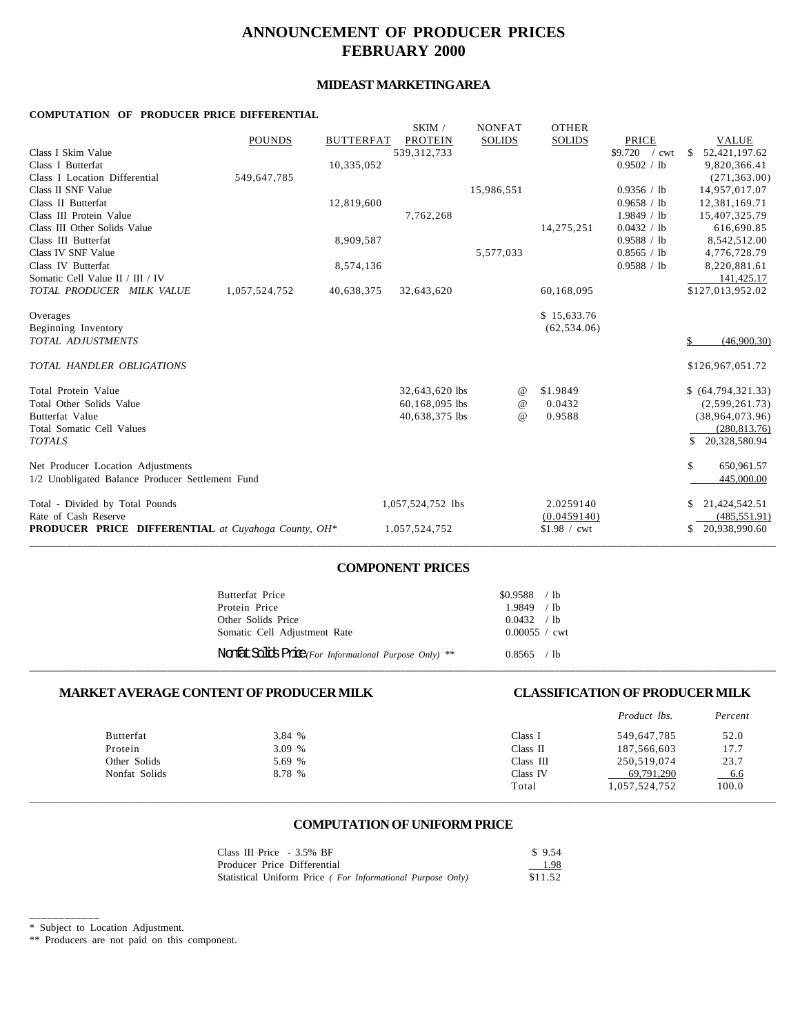# **ANNOUNCEMENT OF PRODUCER PRICES FEBRUARY 2000**

# **MIDEAST MARKETING AREA**

### **COMPUTATION OF PRODUCER PRICE DIFFERENTIAL**

| <b>POUNDS</b>                                       | <b>BUTTERFAT</b> | <b>PROTEIN</b>    | <b>SOLIDS</b> | <b>SOLIDS</b> | PRICE                          | <b>VALUE</b>                   |
|-----------------------------------------------------|------------------|-------------------|---------------|---------------|--------------------------------|--------------------------------|
| Class I Skim Value                                  |                  | 539, 312, 733     |               |               | \$9.720<br>$\sqrt{\text{cwt}}$ | 52,421,197.62<br><sup>\$</sup> |
| Class I Butterfat                                   | 10,335,052       |                   |               |               | 0.9502 / lb                    | 9,820,366.41                   |
| Class I Location Differential<br>549,647,785        |                  |                   |               |               |                                | (271, 363.00)                  |
| Class II SNF Value                                  |                  |                   | 15,986,551    |               | 0.9356 / lb                    | 14,957,017.07                  |
| Class II Butterfat                                  | 12,819,600       |                   |               |               | 0.9658 / lb                    | 12,381,169.71                  |
| Class III Protein Value                             |                  | 7,762,268         |               |               | 1.9849 / lb                    | 15,407,325.79                  |
| Class III Other Solids Value                        |                  |                   |               | 14,275,251    | 0.0432 / lb                    | 616,690.85                     |
| Class III Butterfat                                 | 8,909,587        |                   |               |               | 0.9588 / lb                    | 8,542,512.00                   |
| Class IV SNF Value                                  |                  |                   | 5,577,033     |               | 0.8565 / lb                    | 4,776,728.79                   |
| Class IV Butterfat                                  | 8,574,136        |                   |               |               | 0.9588 / lb                    | 8,220,881.61                   |
| Somatic Cell Value II / III / IV                    |                  |                   |               |               |                                | 141,425.17                     |
| TOTAL PRODUCER MILK VALUE<br>1,057,524,752          | 40,638,375       | 32,643,620        |               | 60,168,095    |                                | \$127,013,952.02               |
| Overages                                            |                  |                   |               | \$15,633.76   |                                |                                |
| Beginning Inventory                                 |                  |                   |               | (62, 534.06)  |                                |                                |
| TOTAL ADJUSTMENTS                                   |                  |                   |               |               |                                | (46,900.30)<br>S.              |
| TOTAL HANDLER OBLIGATIONS                           |                  |                   |               |               |                                | \$126,967,051.72               |
| Total Protein Value                                 |                  | 32,643,620 lbs    | $^{\,a}$      | \$1.9849      |                                | \$ (64,794,321.33)             |
| Total Other Solids Value                            |                  | 60,168,095 lbs    | $\omega$      | 0.0432        |                                | (2,599,261.73)                 |
| <b>Butterfat Value</b>                              |                  | 40,638,375 lbs    | $\omega$      | 0.9588        |                                | (38,964,073.96)                |
| Total Somatic Cell Values                           |                  |                   |               |               |                                | (280, 813.76)                  |
| <b>TOTALS</b>                                       |                  |                   |               |               |                                | 20,328,580.94<br>\$            |
| Net Producer Location Adjustments                   |                  |                   |               |               |                                | \$<br>650,961.57               |
| 1/2 Unobligated Balance Producer Settlement Fund    |                  |                   |               |               |                                | 445,000.00                     |
| Total - Divided by Total Pounds                     |                  | 1,057,524,752 lbs |               | 2.0259140     |                                | 21,424,542.51                  |
| Rate of Cash Reserve                                |                  |                   |               | (0.0459140)   |                                | (485, 551.91)                  |
| PRODUCER PRICE DIFFERENTIAL at Cuyahoga County, OH* |                  | 1,057,524,752     |               | $$1.98 /$ cwt |                                | 20,938,990.60<br>\$            |

## **COMPONENT PRICES**

**\_\_\_\_\_\_\_\_\_\_\_\_\_\_\_\_\_\_\_\_\_\_\_\_\_\_\_\_\_\_\_\_\_\_\_\_\_\_\_\_\_\_\_\_\_\_\_\_\_\_\_\_\_\_\_\_\_\_\_\_\_\_\_\_\_\_\_\_\_\_\_\_\_\_\_\_\_\_\_\_\_\_\_\_\_\_\_\_\_\_\_\_\_\_\_\_\_\_\_\_\_\_\_\_\_\_\_\_\_\_\_\_\_\_\_\_\_\_\_\_\_\_\_\_\_\_\_\_\_\_\_\_\_\_\_\_\_\_\_\_\_**

| Butterfat Price                                        | $$0.9588$ / lb  |  |
|--------------------------------------------------------|-----------------|--|
| Protein Price                                          | $1.9849$ / lb   |  |
| Other Solids Price                                     | 0.0432 / h      |  |
| Somatic Cell Adjustment Rate                           | $0.00055 /$ cwt |  |
| Nonfat Solids Price(For Informational Purpose Only) ** | 0.8565 / lb     |  |

# **MARKET AVERAGE CONTENT OF PRODUCER MILK CLASSIFICATION OF PRODUCER MILK**

|               |        |           | <i>Product lbs.</i> | Percent |
|---------------|--------|-----------|---------------------|---------|
| Butterfat     | 3.84 % | Class I   | 549,647,785         | 52.0    |
| Protein       | 3.09%  | Class II  | 187,566,603         | 17.7    |
| Other Solids  | 5.69 % | Class III | 250,519,074         | 23.7    |
| Nonfat Solids | 8.78 % | Class IV  | 69,791,290          | $-6.6$  |
|               |        | Total     | 1,057,524,752       | 100.0   |
|               |        |           |                     |         |

### **COMPUTATION OF UNIFORM PRICE**

| Class III Price - 3.5% BF                                  | \$9.54  |
|------------------------------------------------------------|---------|
| Producer Price Differential                                | 1.98    |
| Statistical Uniform Price (For Informational Purpose Only) | \$11.52 |

<sup>\*</sup> Subject to Location Adjustment.

\_\_\_\_\_\_\_\_\_\_\_\_

<sup>\*\*</sup> Producers are not paid on this component.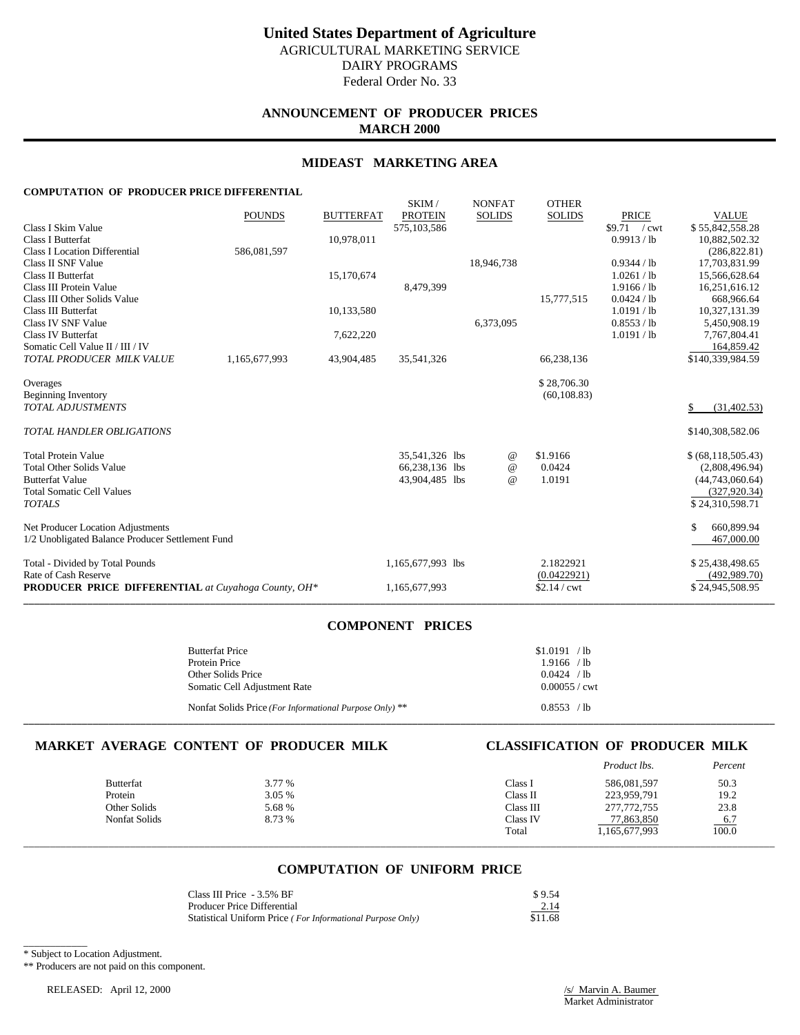# **ANNOUNCEMENT OF PRODUCER PRICES MARCH 2000**

### **MIDEAST MARKETING AREA**

SKIM / NONEAT OTHER

### **COMPUTATION OF PRODUCER PRICE DIFFERENTIAL**

|                                                            |               |                  | JAINI /           | <b>INVINEAT</b> | <b>UILLEN</b> |               |                      |
|------------------------------------------------------------|---------------|------------------|-------------------|-----------------|---------------|---------------|----------------------|
|                                                            | <b>POUNDS</b> | <b>BUTTERFAT</b> | <b>PROTEIN</b>    | <b>SOLIDS</b>   | <b>SOLIDS</b> | <b>PRICE</b>  | <b>VALUE</b>         |
| Class I Skim Value                                         |               |                  | 575,103,586       |                 |               | $$9.71$ / cwt | \$55,842,558.28      |
| <b>Class I Butterfat</b>                                   |               | 10,978,011       |                   |                 |               | 0.9913 / lb   | 10,882,502.32        |
| <b>Class I Location Differential</b>                       | 586,081,597   |                  |                   |                 |               |               | (286, 822.81)        |
| Class II SNF Value                                         |               |                  |                   | 18,946,738      |               | 0.9344 / lb   | 17,703,831.99        |
| Class II Butterfat                                         |               | 15,170,674       |                   |                 |               | 1.0261 / lb   | 15,566,628.64        |
| Class III Protein Value                                    |               |                  | 8,479,399         |                 |               | 1.9166 / lb   | 16,251,616.12        |
| Class III Other Solids Value                               |               |                  |                   |                 | 15,777,515    | 0.0424 / lb   | 668,966.64           |
| <b>Class III Butterfat</b>                                 |               | 10,133,580       |                   |                 |               | 1.0191 / lb   | 10,327,131.39        |
| Class IV SNF Value                                         |               |                  |                   | 6,373,095       |               | 0.8553 / lb   | 5,450,908.19         |
| <b>Class IV Butterfat</b>                                  |               | 7,622,220        |                   |                 |               | 1.0191 / lb   | 7,767,804.41         |
| Somatic Cell Value II / III / IV                           |               |                  |                   |                 |               |               | 164,859.42           |
| TOTAL PRODUCER MILK VALUE                                  | 1,165,677,993 | 43,904,485       | 35,541,326        |                 | 66,238,136    |               | \$140,339,984.59     |
| Overages                                                   |               |                  |                   |                 | \$28,706.30   |               |                      |
| <b>Beginning Inventory</b>                                 |               |                  |                   |                 | (60, 108.83)  |               |                      |
| <b>TOTAL ADJUSTMENTS</b>                                   |               |                  |                   |                 |               |               | \$<br>(31, 402.53)   |
|                                                            |               |                  |                   |                 |               |               |                      |
| TOTAL HANDLER OBLIGATIONS                                  |               |                  |                   |                 |               |               | \$140,308,582.06     |
| <b>Total Protein Value</b>                                 |               |                  | 35,541,326 lbs    | @               | \$1.9166      |               | \$ (68, 118, 505.43) |
| <b>Total Other Solids Value</b>                            |               |                  | 66,238,136 lbs    | $^{\omega}{}$   | 0.0424        |               | (2,808,496.94)       |
| <b>Butterfat Value</b>                                     |               |                  | 43,904,485 lbs    | $^{\omega}{}$   | 1.0191        |               | (44,743,060.64)      |
| <b>Total Somatic Cell Values</b>                           |               |                  |                   |                 |               |               | (327, 920.34)        |
| <b>TOTALS</b>                                              |               |                  |                   |                 |               |               | \$24,310,598.71      |
|                                                            |               |                  |                   |                 |               |               |                      |
| Net Producer Location Adjustments                          |               |                  |                   |                 |               |               | \$<br>660,899.94     |
| 1/2 Unobligated Balance Producer Settlement Fund           |               |                  |                   |                 |               |               | 467,000.00           |
| Total - Divided by Total Pounds                            |               |                  | 1,165,677,993 lbs |                 | 2.1822921     |               | \$25,438,498.65      |
| Rate of Cash Reserve                                       |               |                  |                   |                 | (0.0422921)   |               | (492, 989.70)        |
| <b>PRODUCER PRICE DIFFERENTIAL</b> at Cuyahoga County, OH* |               |                  | 1,165,677,993     |                 | $$2.14$ / cwt |               | \$24,945,508.95      |
|                                                            |               |                  |                   |                 |               |               |                      |

## **COMPONENT PRICES**

| <b>Butterfat Price</b><br>Protein Price<br>Other Solids Price<br>Somatic Cell Adjustment Rate | \$1.0191 / lb<br>$1.9166$ /lb<br>0.0424 / lb<br>$0.00055 /$ cwt |
|-----------------------------------------------------------------------------------------------|-----------------------------------------------------------------|
| Nonfat Solids Price (For Informational Purpose Only) **                                       | 0.8553 / lb                                                     |

### **MARKET AVERAGE CONTENT OF PRODUCER MILK CLASSIFICATION OF PRODUCER MILK**

|                  |        |           | Product lbs.  | Percent             |
|------------------|--------|-----------|---------------|---------------------|
| <b>Butterfat</b> | 3.77 % | Class 1   | 586,081,597   | 50.3                |
| Protein          | 3.05 % | Class II  | 223,959,791   | 19.2                |
| Other Solids     | 5.68 % | Class III | 277,772,755   | 23.8                |
| Nonfat Solids    | 8.73 % | Class IV  | 77,863,850    |                     |
|                  |        | Total     | 1,165,677,993 | $\frac{6.7}{100.0}$ |
|                  |        |           |               |                     |

## **COMPUTATION OF UNIFORM PRICE**

| Class III Price - 3.5% BF                                  | \$9.54  |
|------------------------------------------------------------|---------|
| Producer Price Differential                                | 2.14    |
| Statistical Uniform Price (For Informational Purpose Only) | \$11.68 |

\_\_\_\_\_\_\_\_\_\_\_\_ \* Subject to Location Adjustment.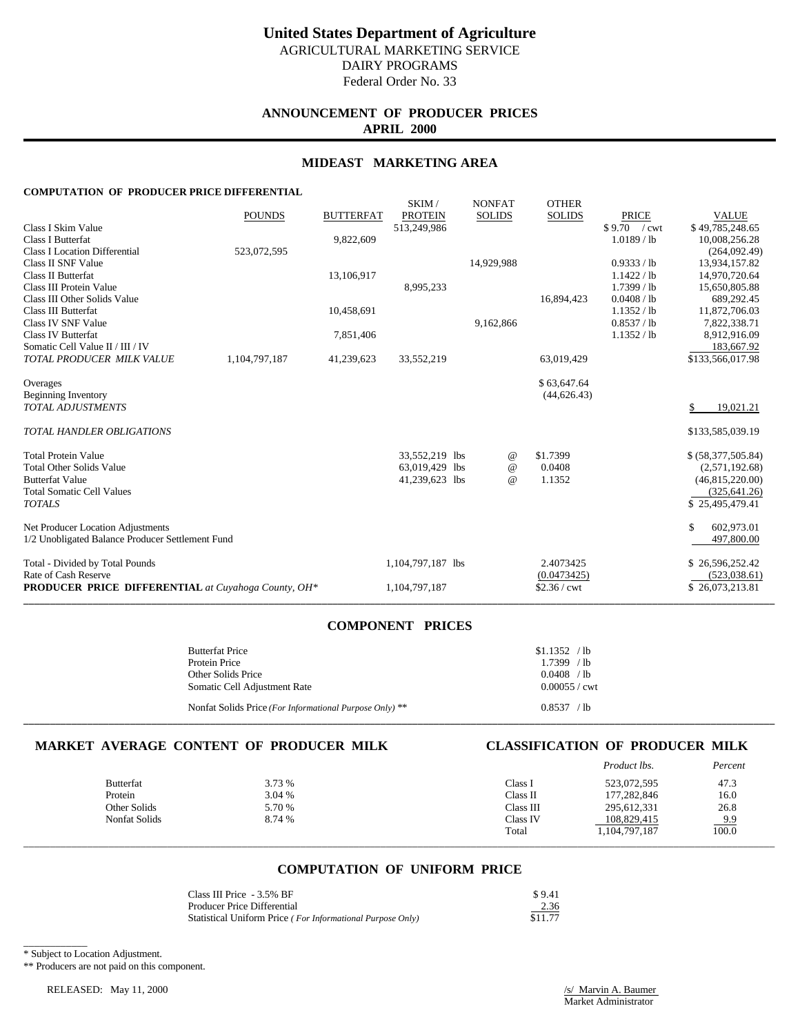# **ANNOUNCEMENT OF PRODUCER PRICES APRIL 2000**

### **MIDEAST MARKETING AREA**

SKIM / NONEAT OTHER

### **COMPUTATION OF PRODUCER PRICE DIFFERENTIAL**

|                                                            |               |                  | <b>SIXIIVI</b> /  |            | <b>INVISITAL</b> | <b>OTTLE</b> N |                       |                    |
|------------------------------------------------------------|---------------|------------------|-------------------|------------|------------------|----------------|-----------------------|--------------------|
|                                                            | <b>POUNDS</b> | <b>BUTTERFAT</b> | <b>PROTEIN</b>    |            | <b>SOLIDS</b>    | <b>SOLIDS</b>  | <b>PRICE</b>          | <b>VALUE</b>       |
| Class I Skim Value                                         |               |                  | 513,249,986       |            |                  |                | \$9.70 / cwt          | \$49,785,248.65    |
| Class I Butterfat                                          |               | 9,822,609        |                   |            |                  |                | $1.0189$ / lb         | 10,008,256.28      |
| <b>Class I Location Differential</b>                       | 523,072,595   |                  |                   |            |                  |                |                       | (264,092.49)       |
| Class II SNF Value                                         |               |                  |                   |            | 14,929,988       |                | 0.9333 / lb           | 13,934,157.82      |
| Class II Butterfat                                         |               | 13,106,917       |                   |            |                  |                | 1.1422 / lb           | 14,970,720.64      |
| Class III Protein Value                                    |               |                  | 8,995,233         |            |                  |                | 1.7399/1 <sub>b</sub> | 15,650,805.88      |
| Class III Other Solids Value                               |               |                  |                   |            |                  | 16,894,423     | 0.0408 / lb           | 689,292.45         |
| Class III Butterfat                                        |               | 10,458,691       |                   |            |                  |                | 1.1352 / lb           | 11,872,706.03      |
| Class IV SNF Value                                         |               |                  |                   |            | 9,162,866        |                | 0.8537 / lb           | 7,822,338.71       |
| <b>Class IV Butterfat</b>                                  |               | 7,851,406        |                   |            |                  |                | 1.1352 / lb           | 8,912,916.09       |
| Somatic Cell Value II / III / IV                           |               |                  |                   |            |                  |                |                       | 183,667.92         |
| TOTAL PRODUCER MILK VALUE                                  | 1,104,797,187 | 41,239,623       | 33,552,219        |            |                  | 63,019,429     |                       | \$133,566,017.98   |
| Overages                                                   |               |                  |                   |            |                  | \$63,647.64    |                       |                    |
| <b>Beginning Inventory</b>                                 |               |                  |                   |            |                  | (44, 626.43)   |                       |                    |
| <b>TOTAL ADJUSTMENTS</b>                                   |               |                  |                   |            |                  |                |                       | \$<br>19,021.21    |
| <b>TOTAL HANDLER OBLIGATIONS</b>                           |               |                  |                   |            |                  |                |                       | \$133,585,039.19   |
| <b>Total Protein Value</b>                                 |               |                  | 33,552,219 lbs    |            | @                | \$1.7399       |                       | \$ (58,377,505.84) |
| <b>Total Other Solids Value</b>                            |               |                  | 63,019,429        | <b>lbs</b> | $\omega$         | 0.0408         |                       | (2,571,192.68)     |
| <b>Butterfat Value</b>                                     |               |                  | 41,239,623 lbs    |            | $^{\omega}{}$    | 1.1352         |                       | (46,815,220.00)    |
| <b>Total Somatic Cell Values</b>                           |               |                  |                   |            |                  |                |                       | (325, 641.26)      |
| <b>TOTALS</b>                                              |               |                  |                   |            |                  |                |                       | \$25,495,479.41    |
| Net Producer Location Adjustments                          |               |                  |                   |            |                  |                |                       | \$<br>602,973.01   |
| 1/2 Unobligated Balance Producer Settlement Fund           |               |                  |                   |            |                  |                |                       | 497,800.00         |
| Total - Divided by Total Pounds                            |               |                  | 1,104,797,187 lbs |            |                  | 2.4073425      |                       | \$26,596,252.42    |
| Rate of Cash Reserve                                       |               |                  |                   |            |                  | (0.0473425)    |                       | (523,038.61)       |
| <b>PRODUCER PRICE DIFFERENTIAL</b> at Cuyahoga County, OH* |               |                  | 1,104,797,187     |            |                  | $$2.36$ / cwt  |                       | \$26,073,213.81    |
|                                                            |               |                  |                   |            |                  |                |                       |                    |

## **COMPONENT PRICES**

| <b>Butterfat Price</b><br>Protein Price<br>Other Solids Price<br>Somatic Cell Adjustment Rate | \$1.1352 / lb<br>1.7399 / lb<br>$0.0408$ /lb<br>$0.00055 /$ cwt |
|-----------------------------------------------------------------------------------------------|-----------------------------------------------------------------|
| Nonfat Solids Price (For Informational Purpose Only) **                                       | 0.8537 / lb                                                     |

### **MARKET AVERAGE CONTENT OF PRODUCER MILK CLASSIFICATION OF PRODUCER MILK**

|                  |        |           | Product lbs.  | Percent             |
|------------------|--------|-----------|---------------|---------------------|
| <b>Butterfat</b> | 3.73 % | Class 1   | 523,072,595   | 47.3                |
| Protein          | 3.04 % | Class II  | 177,282,846   | 16.0                |
| Other Solids     | 5.70 % | Class III | 295,612,331   | 26.8                |
| Nonfat Solids    | 8.74 % | Class IV  | 108,829,415   |                     |
|                  |        | Total     | 1,104,797,187 | $\frac{9.9}{100.0}$ |
|                  |        |           |               |                     |

# **COMPUTATION OF UNIFORM PRICE**

| Class III Price - 3.5% BF                                  | \$9.41  |
|------------------------------------------------------------|---------|
| <b>Producer Price Differential</b>                         | 2.36    |
| Statistical Uniform Price (For Informational Purpose Only) | \$11.77 |

\_\_\_\_\_\_\_\_\_\_\_\_ \* Subject to Location Adjustment.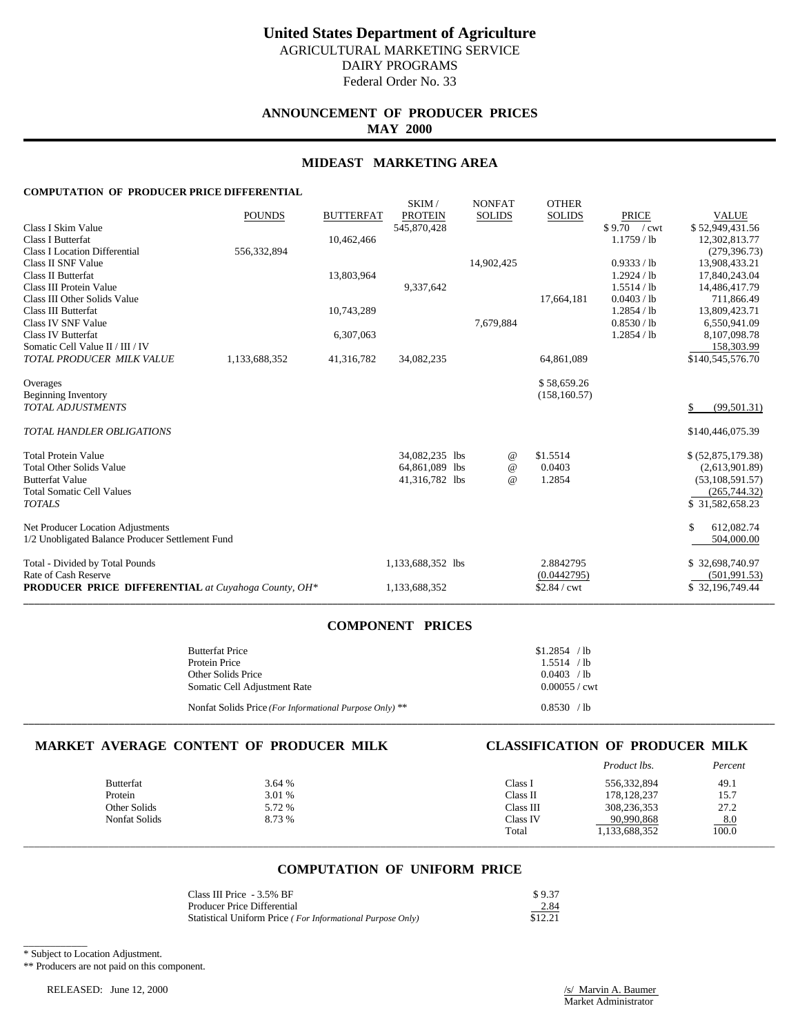# **ANNOUNCEMENT OF PRODUCER PRICES MAY 2000**

### **MIDEAST MARKETING AREA**

SKIM / NONEAT OTHER

### **COMPUTATION OF PRODUCER PRICE DIFFERENTIAL**

|                                                            |               |                  | <b>SIXIIVI</b> /  | IVUN AI       | <b>OTTLE</b> N |               |                    |
|------------------------------------------------------------|---------------|------------------|-------------------|---------------|----------------|---------------|--------------------|
|                                                            | <b>POUNDS</b> | <b>BUTTERFAT</b> | <b>PROTEIN</b>    | <b>SOLIDS</b> | <b>SOLIDS</b>  | <b>PRICE</b>  | <b>VALUE</b>       |
| Class I Skim Value                                         |               |                  | 545,870,428       |               |                | \$9.70 / cwt  | \$52,949,431.56    |
| Class I Butterfat                                          |               | 10,462,466       |                   |               |                | $1.1759$ / lb | 12,302,813.77      |
| <b>Class I Location Differential</b>                       | 556,332,894   |                  |                   |               |                |               | (279, 396.73)      |
| Class II SNF Value                                         |               |                  |                   | 14,902,425    |                | 0.9333 / lb   | 13,908,433.21      |
| Class II Butterfat                                         |               | 13,803,964       |                   |               |                | 1.2924 / lb   | 17,840,243.04      |
| Class III Protein Value                                    |               |                  | 9,337,642         |               |                | 1.5514 / lb   | 14,486,417.79      |
| Class III Other Solids Value                               |               |                  |                   |               | 17,664,181     | 0.0403 / lb   | 711,866.49         |
| Class III Butterfat                                        |               | 10,743,289       |                   |               |                | 1.2854 / lb   | 13,809,423.71      |
| Class IV SNF Value                                         |               |                  |                   | 7,679,884     |                | 0.8530 / lb   | 6,550,941.09       |
| <b>Class IV Butterfat</b>                                  |               | 6,307,063        |                   |               |                | 1.2854 / lb   | 8,107,098.78       |
| Somatic Cell Value II / III / IV                           |               |                  |                   |               |                |               | 158,303.99         |
| TOTAL PRODUCER MILK VALUE                                  | 1,133,688,352 | 41,316,782       | 34,082,235        |               | 64,861,089     |               | \$140,545,576.70   |
| Overages                                                   |               |                  |                   |               | \$58,659.26    |               |                    |
| <b>Beginning Inventory</b>                                 |               |                  |                   |               | (158, 160.57)  |               |                    |
| <b>TOTAL ADJUSTMENTS</b>                                   |               |                  |                   |               |                |               | \$<br>(99, 501.31) |
| <b>TOTAL HANDLER OBLIGATIONS</b>                           |               |                  |                   |               |                |               | \$140,446,075.39   |
| <b>Total Protein Value</b>                                 |               |                  | 34,082,235 lbs    | @             | \$1.5514       |               | \$ (52,875,179.38) |
| <b>Total Other Solids Value</b>                            |               |                  | 64,861,089 lbs    | $\omega$      | 0.0403         |               | (2,613,901.89)     |
| <b>Butterfat Value</b>                                     |               |                  | 41,316,782 lbs    | $^{\omega}{}$ | 1.2854         |               | (53, 108, 591.57)  |
| <b>Total Somatic Cell Values</b>                           |               |                  |                   |               |                |               | (265, 744.32)      |
| <b>TOTALS</b>                                              |               |                  |                   |               |                |               | \$31,582,658.23    |
| Net Producer Location Adjustments                          |               |                  |                   |               |                |               | \$<br>612,082.74   |
| 1/2 Unobligated Balance Producer Settlement Fund           |               |                  |                   |               |                |               | 504,000.00         |
| Total - Divided by Total Pounds                            |               |                  | 1,133,688,352 lbs |               | 2.8842795      |               | \$32,698,740.97    |
| Rate of Cash Reserve                                       |               |                  |                   |               | (0.0442795)    |               | (501, 991.53)      |
| <b>PRODUCER PRICE DIFFERENTIAL</b> at Cuyahoga County, OH* |               |                  | 1,133,688,352     |               | \$2.84 / cwt   |               | \$32,196,749.44    |
|                                                            |               |                  |                   |               |                |               |                    |

## **COMPONENT PRICES**

| <b>Butterfat Price</b><br>Protein Price<br>Other Solids Price<br>Somatic Cell Adjustment Rate | \$1.2854 / lb<br>1.5514 / lb<br>0.0403 / lb<br>$0.00055 /$ cwt |
|-----------------------------------------------------------------------------------------------|----------------------------------------------------------------|
| Nonfat Solids Price (For Informational Purpose Only) **                                       | 0.8530 / lb                                                    |

### **MARKET AVERAGE CONTENT OF PRODUCER MILK CLASSIFICATION OF PRODUCER MILK**

|                  |        |           | Product lbs.  | Percent             |
|------------------|--------|-----------|---------------|---------------------|
| <b>Butterfat</b> | 3.64 % | Class 1   | 556,332,894   | 49.1                |
| Protein          | 3.01 % | Class II  | 178, 128, 237 | 15.7                |
| Other Solids     | 5.72 % | Class III | 308,236,353   | 27.2                |
| Nonfat Solids    | 8.73 % | Class IV  | 90,990,868    |                     |
|                  |        | Total     | 1,133,688,352 | $\frac{8.0}{100.0}$ |
|                  |        |           |               |                     |

## **COMPUTATION OF UNIFORM PRICE**

| Class III Price - 3.5% BF                                  | \$9.37  |
|------------------------------------------------------------|---------|
| Producer Price Differential                                | 2.84    |
| Statistical Uniform Price (For Informational Purpose Only) | \$12.21 |

\_\_\_\_\_\_\_\_\_\_\_\_ \* Subject to Location Adjustment.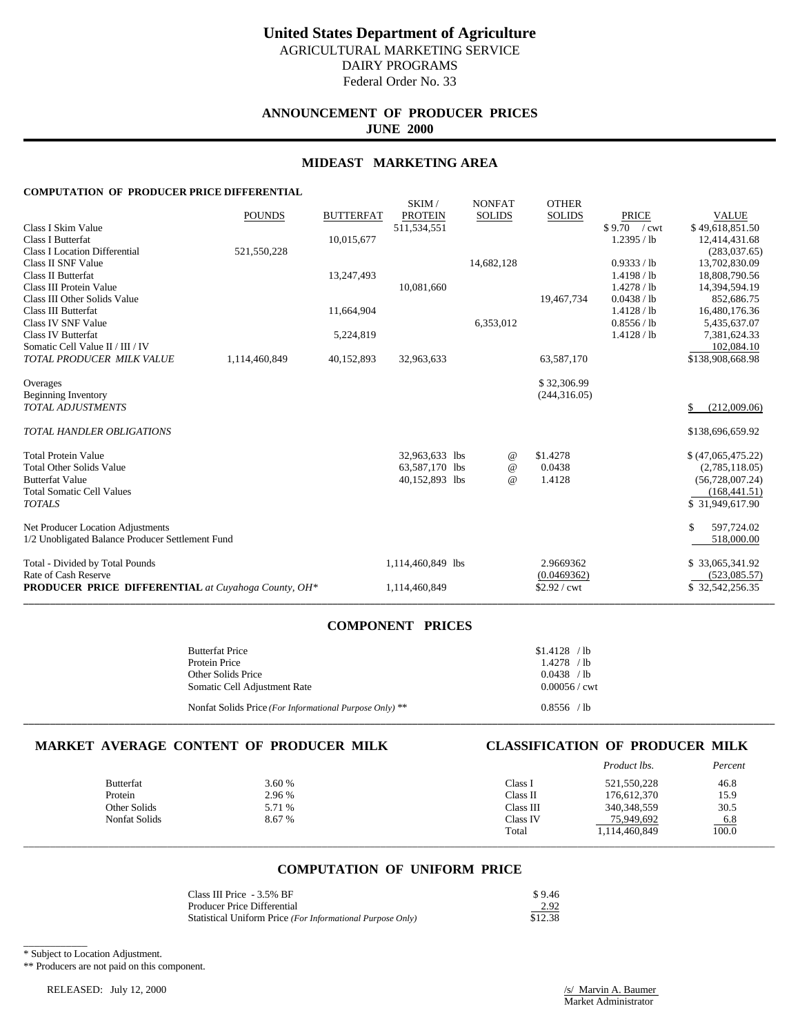# **ANNOUNCEMENT OF PRODUCER PRICES JUNE 2000**

### **MIDEAST MARKETING AREA**

SKIM / NONEAT OTHER

### **COMPUTATION OF PRODUCER PRICE DIFFERENTIAL**

|                                                            |               |                  | JAINI /           | <b>INVINEAT</b> | <b>UILLEN</b> |              |                    |
|------------------------------------------------------------|---------------|------------------|-------------------|-----------------|---------------|--------------|--------------------|
|                                                            | <b>POUNDS</b> | <b>BUTTERFAT</b> | <b>PROTEIN</b>    | <b>SOLIDS</b>   | <b>SOLIDS</b> | <b>PRICE</b> | <b>VALUE</b>       |
| Class I Skim Value                                         |               |                  | 511,534,551       |                 |               | \$9.70 / cwt | \$49,618,851.50    |
| <b>Class I Butterfat</b>                                   |               | 10,015,677       |                   |                 |               | 1.2395 / lb  | 12,414,431.68      |
| <b>Class I Location Differential</b>                       | 521,550,228   |                  |                   |                 |               |              | (283, 037.65)      |
| Class II SNF Value                                         |               |                  |                   | 14,682,128      |               | 0.9333 / lb  | 13,702,830.09      |
| Class II Butterfat                                         |               | 13,247,493       |                   |                 |               | 1.4198 / lb  | 18,808,790.56      |
| Class III Protein Value                                    |               |                  | 10,081,660        |                 |               | 1.4278 / lb  | 14,394,594.19      |
| Class III Other Solids Value                               |               |                  |                   |                 | 19,467,734    | 0.0438 / lb  | 852,686.75         |
| Class III Butterfat                                        |               | 11,664,904       |                   |                 |               | 1.4128 / lb  | 16,480,176.36      |
| Class IV SNF Value                                         |               |                  |                   | 6,353,012       |               | 0.8556 / lb  | 5,435,637.07       |
| <b>Class IV Butterfat</b>                                  |               | 5,224,819        |                   |                 |               | 1.4128 / lb  | 7,381,624.33       |
| Somatic Cell Value II / III / IV                           |               |                  |                   |                 |               |              | 102,084.10         |
| TOTAL PRODUCER MILK VALUE                                  | 1,114,460,849 | 40,152,893       | 32,963,633        |                 | 63,587,170    |              | \$138,908,668.98   |
| Overages                                                   |               |                  |                   |                 | \$32,306.99   |              |                    |
| <b>Beginning Inventory</b>                                 |               |                  |                   |                 | (244, 316.05) |              |                    |
| <b>TOTAL ADJUSTMENTS</b>                                   |               |                  |                   |                 |               |              | \$<br>(212,009.06) |
| TOTAL HANDLER OBLIGATIONS                                  |               |                  |                   |                 |               |              | \$138,696,659.92   |
| <b>Total Protein Value</b>                                 |               |                  | 32,963,633 lbs    | @               | \$1.4278      |              | \$ (47,065,475.22) |
| <b>Total Other Solids Value</b>                            |               |                  | 63,587,170 lbs    | $^{\omega}{}$   | 0.0438        |              | (2,785,118.05)     |
| <b>Butterfat Value</b>                                     |               |                  | 40,152,893 lbs    | $^{\omega}{}$   | 1.4128        |              | (56, 728, 007.24)  |
| <b>Total Somatic Cell Values</b>                           |               |                  |                   |                 |               |              | (168, 441.51)      |
| <b>TOTALS</b>                                              |               |                  |                   |                 |               |              | \$31,949,617.90    |
| Net Producer Location Adjustments                          |               |                  |                   |                 |               |              | \$<br>597.724.02   |
| 1/2 Unobligated Balance Producer Settlement Fund           |               |                  |                   |                 |               |              | 518,000.00         |
| Total - Divided by Total Pounds                            |               |                  | 1,114,460,849 lbs |                 | 2.9669362     |              | \$33,065,341.92    |
| Rate of Cash Reserve                                       |               |                  |                   |                 | (0.0469362)   |              | (523,085.57)       |
| <b>PRODUCER PRICE DIFFERENTIAL</b> at Cuyahoga County, OH* |               |                  | 1,114,460,849     |                 | \$2.92 / cwt  |              | \$32,542,256.35    |
|                                                            |               |                  |                   |                 |               |              |                    |

## **COMPONENT PRICES**

| <b>Butterfat Price</b><br>Protein Price<br>Other Solids Price<br>Somatic Cell Adjustment Rate | $$1.4128$ /lb<br>$1.4278$ /lb<br>0.0438 / lb<br>$0.00056$ / cwt |
|-----------------------------------------------------------------------------------------------|-----------------------------------------------------------------|
| Nonfat Solids Price (For Informational Purpose Only) **                                       | 0.8556 / lb                                                     |

### **MARKET AVERAGE CONTENT OF PRODUCER MILK CLASSIFICATION OF PRODUCER MILK**

|                  |        |           | Product lbs.  | Percent             |
|------------------|--------|-----------|---------------|---------------------|
| <b>Butterfat</b> | 3.60 % | Class 1   | 521,550,228   | 46.8                |
| Protein          | 2.96 % | Class II  | 176,612,370   | 15.9                |
| Other Solids     | 5.71 % | Class III | 340, 348, 559 | 30.5                |
| Nonfat Solids    | 8.67 % | Class IV  | 75,949,692    |                     |
|                  |        | Total     | 1,114,460,849 | $\frac{6.8}{100.0}$ |
|                  |        |           |               |                     |

## **COMPUTATION OF UNIFORM PRICE**

| Class III Price - 3.5% BF                                  | \$9.46  |
|------------------------------------------------------------|---------|
| <b>Producer Price Differential</b>                         | 2.92    |
| Statistical Uniform Price (For Informational Purpose Only) | \$12.38 |

\_\_\_\_\_\_\_\_\_\_\_\_ \* Subject to Location Adjustment.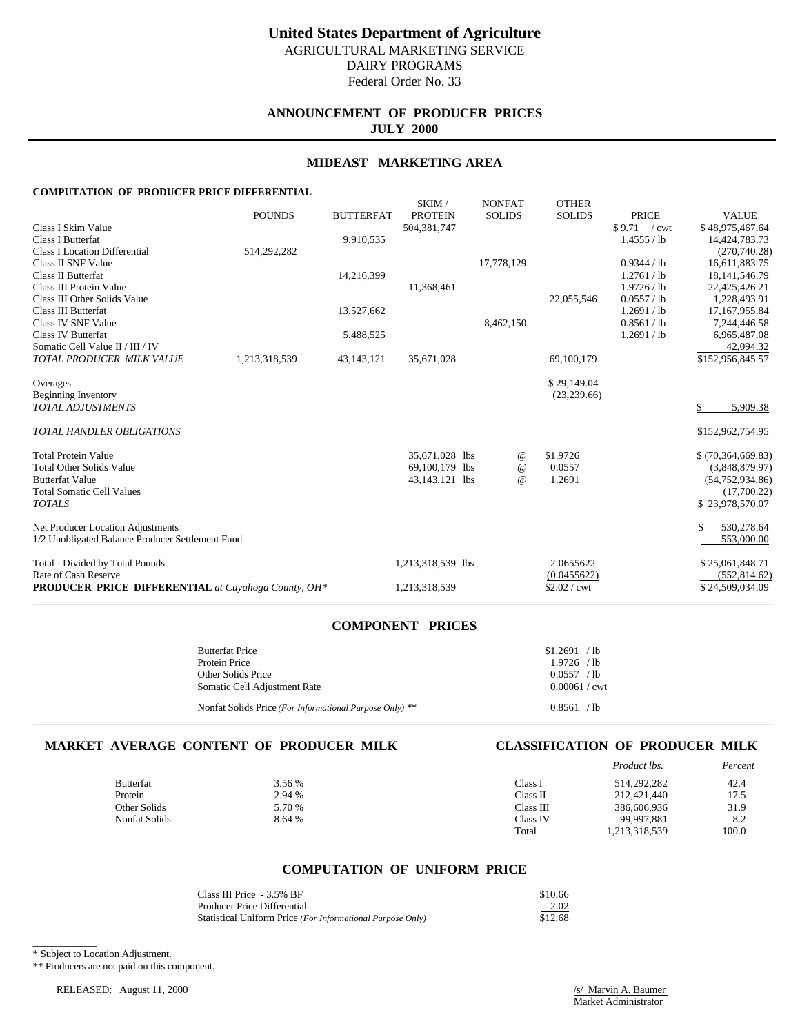Federal Order No. 33

# **ANNOUNCEMENT OF PRODUCER PRICES JULY 2000**

### **MIDEAST MARKETING AREA**

### **COMPUTATION OF PRODUCER PRICE DIFFERENTIAL**

| <b>PRODUCER PRICE DIFFERENTIAL</b> at Cuyahoga County, OH*                              |               |                  | 1,213,318,539                                      |                                | $$2.02$ / cwt                 |                                           | \$24,509,034.09                                            |
|-----------------------------------------------------------------------------------------|---------------|------------------|----------------------------------------------------|--------------------------------|-------------------------------|-------------------------------------------|------------------------------------------------------------|
| Total - Divided by Total Pounds<br>Rate of Cash Reserve                                 |               |                  | 1,213,318,539 lbs                                  |                                | 2.0655622<br>(0.0455622)      |                                           | \$25,061,848.71<br>(552, 814.62)                           |
| Net Producer Location Adjustments<br>1/2 Unobligated Balance Producer Settlement Fund   |               |                  |                                                    |                                |                               |                                           | \$<br>530,278.64<br>553,000.00                             |
| <b>Total Somatic Cell Values</b><br><b>TOTALS</b>                                       |               |                  |                                                    |                                |                               |                                           | (17,700.22)<br>\$23,978,570.07                             |
| <b>Total Protein Value</b><br><b>Total Other Solids Value</b><br><b>Butterfat Value</b> |               |                  | 35,671,028 lbs<br>69,100,179 lbs<br>43,143,121 lbs | @<br>$^{\,a}$<br>$^{\omega}{}$ | \$1.9726<br>0.0557<br>1.2691  |                                           | \$(70, 364, 669.83)<br>(3,848,879.97)<br>(54, 752, 934.86) |
| <b>TOTAL HANDLER OBLIGATIONS</b>                                                        |               |                  |                                                    |                                |                               |                                           | \$152,962,754.95                                           |
| Overages<br><b>Beginning Inventory</b><br><b>TOTAL ADJUSTMENTS</b>                      |               |                  |                                                    |                                | \$29,149.04<br>(23, 239.66)   |                                           | 5,909.38<br>S                                              |
| TOTAL PRODUCER MILK VALUE                                                               | 1,213,318,539 | 43,143,121       | 35,671,028                                         |                                | 69,100,179                    |                                           | \$152,956,845.57                                           |
| Class IV SNF Value<br><b>Class IV Butterfat</b><br>Somatic Cell Value II / III / IV     |               | 5,488,525        |                                                    | 8,462,150                      |                               | 0.8561 / lb<br>1.2691 / lb                | 7,244,446.58<br>6,965,487.08<br>42,094.32                  |
| Class III Protein Value<br>Class III Other Solids Value<br>Class III Butterfat          |               | 13,527,662       | 11,368,461                                         |                                | 22,055,546                    | 1.9726 / lb<br>0.0557 / lb<br>1.2691 / lb | 22,425,426.21<br>1,228,493.91<br>17,167,955.84             |
| <b>Class I Location Differential</b><br>Class II SNF Value<br>Class II Butterfat        | 514,292,282   | 14,216,399       |                                                    | 17,778,129                     |                               | 0.9344 / lb<br>1.2761 / lb                | (270,740.28)<br>16,611,883.75<br>18, 141, 546. 79          |
| Class I Skim Value<br>Class I Butterfat                                                 |               | 9,910,535        | 504,381,747                                        |                                |                               | $$9.71$ / cwt<br>1.4555 / lb              | \$48,975,467.64<br>14,424,783.73                           |
|                                                                                         | <b>POUNDS</b> | <b>BUTTERFAT</b> | SKIM/<br><b>PROTEIN</b>                            | <b>NONFAT</b><br><b>SOLIDS</b> | <b>OTHER</b><br><b>SOLIDS</b> | <b>PRICE</b>                              | <b>VALUE</b>                                               |

## **COMPONENT PRICES**

| <b>Butterfat Price</b>                                  | $$1.2691$ /lb   |
|---------------------------------------------------------|-----------------|
| Protein Price                                           | 1.9726 / h      |
| Other Solids Price                                      | 0.0557 / h      |
| Somatic Cell Adjustment Rate                            | $0.00061 /$ cwt |
| Nonfat Solids Price (For Informational Purpose Only) ** | 0.8561 / lb     |

**\_\_\_\_\_\_\_\_\_\_\_\_\_\_\_\_\_\_\_\_\_\_\_\_\_\_\_\_\_\_\_\_\_\_\_\_\_\_\_\_\_\_\_\_\_\_\_\_\_\_\_\_\_\_\_\_\_\_\_\_\_\_\_\_\_\_\_\_\_\_\_\_\_\_\_\_\_\_\_\_\_\_\_\_\_\_\_\_\_\_\_\_\_\_\_\_\_\_\_\_\_\_\_\_\_\_\_\_\_\_\_\_\_\_\_\_\_\_\_\_\_\_\_\_\_\_\_\_\_\_\_\_\_\_\_\_\_\_\_**

### **MARKET AVERAGE CONTENT OF PRODUCER MILK CLASSIFICATION OF PRODUCER MILK**

|                  |        |           | Product lbs.  | Percent |
|------------------|--------|-----------|---------------|---------|
| <b>Butterfat</b> | 3.56 % | Class I   | 514,292,282   | 42.4    |
| Protein          | 2.94 % | Class II  | 212,421,440   | 17.5    |
| Other Solids     | 5.70 % | Class III | 386,606,936   | 31.9    |
| Nonfat Solids    | 8.64 % | Class IV  | 99,997,881    | 8.2     |
|                  |        | Total     | 1,213,318,539 | 100.0   |
|                  |        |           |               |         |

## **COMPUTATION OF UNIFORM PRICE**

| Class III Price - 3.5% BF                                  | \$10.66 |
|------------------------------------------------------------|---------|
| Producer Price Differential                                | 2.02    |
| Statistical Uniform Price (For Informational Purpose Only) | \$12.68 |

\_\_\_\_\_\_\_\_\_\_\_\_ \* Subject to Location Adjustment.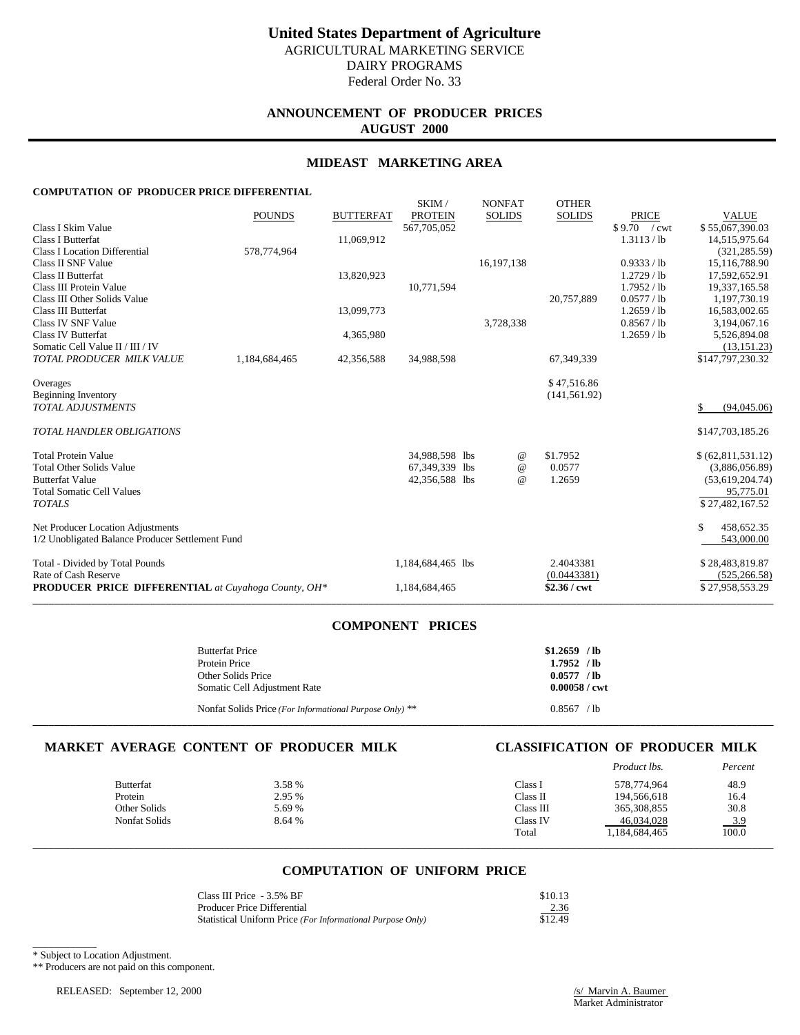# **ANNOUNCEMENT OF PRODUCER PRICES AUGUST 2000**

### **MIDEAST MARKETING AREA**

SKIM / NONEAT OTHER

## **COMPUTATION OF PRODUCER PRICE DIFFERENTIAL**

|                                                            |               |                  | <b>SIXIIVI</b>    | <b>IVOIVEAT</b> | <b>OTTLE</b> N |               |                      |
|------------------------------------------------------------|---------------|------------------|-------------------|-----------------|----------------|---------------|----------------------|
|                                                            | <b>POUNDS</b> | <b>BUTTERFAT</b> | <b>PROTEIN</b>    | <b>SOLIDS</b>   | <b>SOLIDS</b>  | <b>PRICE</b>  | <b>VALUE</b>         |
| Class I Skim Value                                         |               |                  | 567,705,052       |                 |                | \$9.70 / cwt  | \$55,067,390.03      |
| Class I Butterfat                                          |               | 11,069,912       |                   |                 |                | 1.3113 / lb   | 14,515,975.64        |
| <b>Class I Location Differential</b>                       | 578,774,964   |                  |                   |                 |                |               | (321, 285.59)        |
| Class II SNF Value                                         |               |                  |                   | 16,197,138      |                | 0.9333 / lb   | 15,116,788.90        |
| Class II Butterfat                                         |               | 13,820,923       |                   |                 |                | $1.2729$ / lb | 17,592,652.91        |
| Class III Protein Value                                    |               |                  | 10,771,594        |                 |                | 1.7952 / lb   | 19,337,165.58        |
| Class III Other Solids Value                               |               |                  |                   |                 | 20,757,889     | 0.0577 / lb   | 1,197,730.19         |
| Class III Butterfat                                        |               | 13,099,773       |                   |                 |                | $1.2659$ / lb | 16,583,002.65        |
| Class IV SNF Value                                         |               |                  |                   | 3,728,338       |                | 0.8567 / lb   | 3,194,067.16         |
| <b>Class IV Butterfat</b>                                  |               | 4,365,980        |                   |                 |                | $1.2659$ / lb | 5,526,894.08         |
| Somatic Cell Value II / III / IV                           |               |                  |                   |                 |                |               | (13, 151.23)         |
| TOTAL PRODUCER MILK VALUE                                  | 1,184,684,465 | 42,356,588       | 34,988,598        |                 | 67,349,339     |               | \$147,797,230.32     |
| Overages                                                   |               |                  |                   |                 | \$47,516.86    |               |                      |
| <b>Beginning Inventory</b>                                 |               |                  |                   |                 | (141, 561.92)  |               |                      |
| <b>TOTAL ADJUSTMENTS</b>                                   |               |                  |                   |                 |                |               | (94,045.06)<br>\$    |
| <b>TOTAL HANDLER OBLIGATIONS</b>                           |               |                  |                   |                 |                |               | \$147,703,185.26     |
| <b>Total Protein Value</b>                                 |               |                  | 34,988,598 lbs    | @               | \$1.7952       |               | \$ (62, 811, 531.12) |
| <b>Total Other Solids Value</b>                            |               |                  | 67,349,339 lbs    | $^{\omega}{}$   | 0.0577         |               | (3,886,056.89)       |
| <b>Butterfat Value</b>                                     |               |                  | 42,356,588 lbs    | $\omega$        | 1.2659         |               | (53,619,204.74)      |
| <b>Total Somatic Cell Values</b>                           |               |                  |                   |                 |                |               | 95,775.01            |
| <b>TOTALS</b>                                              |               |                  |                   |                 |                |               | \$27,482,167.52      |
| Net Producer Location Adjustments                          |               |                  |                   |                 |                |               | \$<br>458,652.35     |
| 1/2 Unobligated Balance Producer Settlement Fund           |               |                  |                   |                 |                |               | 543,000.00           |
| Total - Divided by Total Pounds                            |               |                  | 1,184,684,465 lbs |                 | 2.4043381      |               | \$28,483,819.87      |
| Rate of Cash Reserve                                       |               |                  |                   |                 | (0.0443381)    |               | (525, 266.58)        |
| <b>PRODUCER PRICE DIFFERENTIAL</b> at Cuyahoga County, OH* |               |                  | 1,184,684,465     |                 | $$2.36 /$ cwt  |               | \$27,958,553.29      |
|                                                            |               |                  |                   |                 |                |               |                      |

# **COMPONENT PRICES**

| <b>Butterfat Price</b>                                  | $$1.2659$ /lb          |
|---------------------------------------------------------|------------------------|
| Protein Price                                           | $1.7952$ /lb           |
| Other Solids Price                                      | $0.0577$ /lb           |
| Somatic Cell Adjustment Rate                            | $0.00058 / \text{cwt}$ |
| Nonfat Solids Price (For Informational Purpose Only) ** | 0.8567 / h             |

**\_\_\_\_\_\_\_\_\_\_\_\_\_\_\_\_\_\_\_\_\_\_\_\_\_\_\_\_\_\_\_\_\_\_\_\_\_\_\_\_\_\_\_\_\_\_\_\_\_\_\_\_\_\_\_\_\_\_\_\_\_\_\_\_\_\_\_\_\_\_\_\_\_\_\_\_\_\_\_\_\_\_\_\_\_\_\_\_\_\_\_\_\_\_\_\_\_\_\_\_\_\_\_\_\_\_\_\_\_\_\_\_\_\_\_\_\_\_\_\_\_\_\_\_\_\_\_\_\_\_\_\_\_\_\_\_\_\_\_**

# **MARKET AVERAGE CONTENT OF PRODUCER MILK CLASSIFICATION OF PRODUCER MILK**

|                  |        |           | Product lbs.  | Percent |
|------------------|--------|-----------|---------------|---------|
| <b>Butterfat</b> | 3.58 % | Class I   | 578,774,964   | 48.9    |
| Protein          | 2.95 % | Class II  | 194,566,618   | 16.4    |
| Other Solids     | 5.69 % | Class III | 365, 308, 855 | 30.8    |
| Nonfat Solids    | 8.64 % | Class IV  | 46,034,028    | 3.9     |
|                  |        | Total     | 1,184,684,465 | 100.0   |
|                  |        |           |               |         |

## **COMPUTATION OF UNIFORM PRICE**

| Class III Price - 3.5% BF                                  | \$10.13 |
|------------------------------------------------------------|---------|
| Producer Price Differential                                | 2.36    |
| Statistical Uniform Price (For Informational Purpose Only) | \$12.49 |

\_\_\_\_\_\_\_\_\_\_\_\_ \* Subject to Location Adjustment.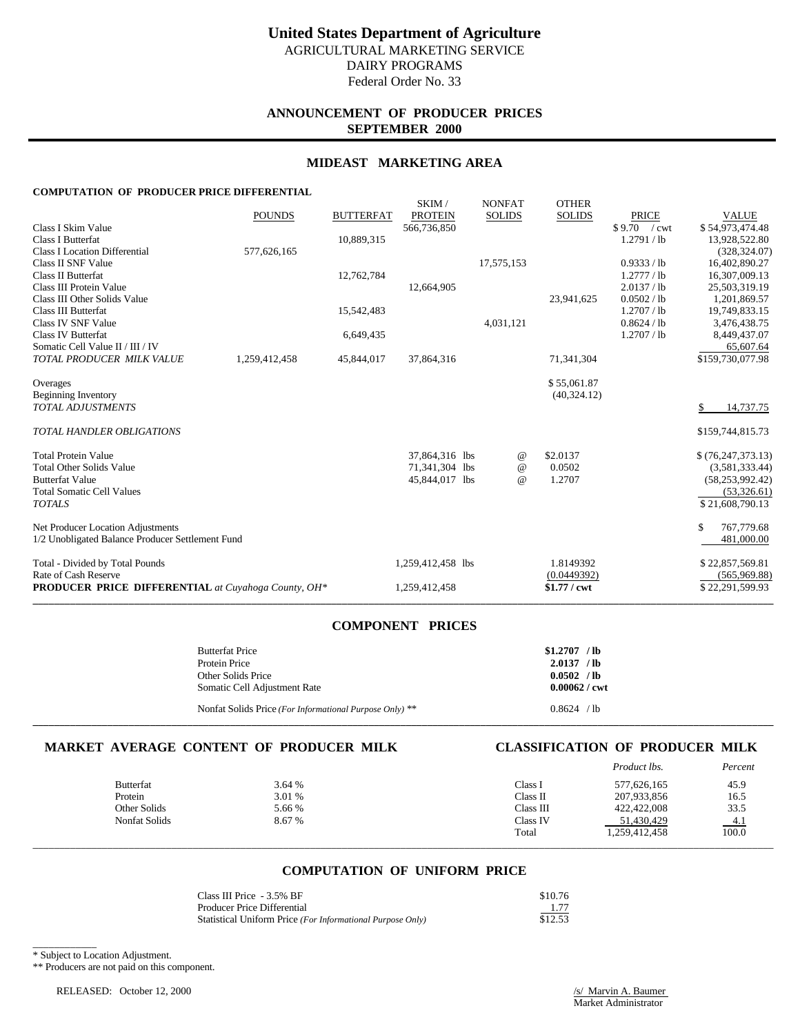# **ANNOUNCEMENT OF PRODUCER PRICES SEPTEMBER 2000**

### **MIDEAST MARKETING AREA**

SKIM / NONEAT OTHER

### **COMPUTATION OF PRODUCER PRICE DIFFERENTIAL**

|                                                            | <b>POUNDS</b> | <b>BUTTERFAT</b> | OIYUVI /<br><b>PROTEIN</b> | <b>IVUITLAI</b><br><b>SOLIDS</b> | $\sigma$ is the independent of $\sigma$<br><b>SOLIDS</b> | <b>PRICE</b> | <b>VALUE</b>        |
|------------------------------------------------------------|---------------|------------------|----------------------------|----------------------------------|----------------------------------------------------------|--------------|---------------------|
| Class I Skim Value                                         |               |                  | 566,736,850                |                                  |                                                          | \$9.70 / cwt | \$54,973,474.48     |
| <b>Class I Butterfat</b>                                   |               | 10,889,315       |                            |                                  |                                                          | 1.2791 / lb  | 13,928,522.80       |
| <b>Class I Location Differential</b>                       | 577,626,165   |                  |                            |                                  |                                                          |              | (328, 324.07)       |
| Class II SNF Value                                         |               |                  |                            | 17,575,153                       |                                                          | 0.9333 / lb  | 16,402,890.27       |
| <b>Class II Butterfat</b>                                  |               | 12,762,784       |                            |                                  |                                                          | 1.2777 / lb  | 16,307,009.13       |
| Class III Protein Value                                    |               |                  | 12,664,905                 |                                  |                                                          | 2.0137 / lb  | 25,503,319.19       |
| Class III Other Solids Value                               |               |                  |                            |                                  | 23,941,625                                               | 0.0502 / lb  | 1,201,869.57        |
| Class III Butterfat                                        |               | 15,542,483       |                            |                                  |                                                          | 1.2707 / lb  | 19,749,833.15       |
| Class IV SNF Value                                         |               |                  |                            | 4,031,121                        |                                                          | 0.8624 / lb  | 3,476,438.75        |
| <b>Class IV Butterfat</b>                                  |               | 6,649,435        |                            |                                  |                                                          | 1.2707 / lb  | 8,449,437.07        |
| Somatic Cell Value II / III / IV                           |               |                  |                            |                                  |                                                          |              | 65,607.64           |
| TOTAL PRODUCER MILK VALUE                                  | 1,259,412,458 | 45,844,017       | 37,864,316                 |                                  | 71,341,304                                               |              | \$159,730,077.98    |
| Overages                                                   |               |                  |                            |                                  | \$55,061.87                                              |              |                     |
| <b>Beginning Inventory</b>                                 |               |                  |                            |                                  | (40, 324.12)                                             |              |                     |
| <b>TOTAL ADJUSTMENTS</b>                                   |               |                  |                            |                                  |                                                          |              | 14,737.75           |
| <b>TOTAL HANDLER OBLIGATIONS</b>                           |               |                  |                            |                                  |                                                          |              | \$159,744,815.73    |
| <b>Total Protein Value</b>                                 |               |                  | 37,864,316 lbs             | @                                | \$2.0137                                                 |              | \$(76, 247, 373.13) |
| <b>Total Other Solids Value</b>                            |               |                  | 71,341,304 lbs             | $^{\omega}{}$                    | 0.0502                                                   |              | (3,581,333.44)      |
| <b>Butterfat Value</b>                                     |               |                  | 45,844,017 lbs             | $\omega$                         | 1.2707                                                   |              | (58, 253, 992, 42)  |
| <b>Total Somatic Cell Values</b>                           |               |                  |                            |                                  |                                                          |              | (53, 326.61)        |
| <b>TOTALS</b>                                              |               |                  |                            |                                  |                                                          |              | \$21,608,790.13     |
| Net Producer Location Adjustments                          |               |                  |                            |                                  |                                                          |              | \$<br>767,779.68    |
| 1/2 Unobligated Balance Producer Settlement Fund           |               |                  |                            |                                  |                                                          |              | 481,000.00          |
| Total - Divided by Total Pounds                            |               |                  | 1,259,412,458 lbs          |                                  | 1.8149392                                                |              | \$22,857,569.81     |
| Rate of Cash Reserve                                       |               |                  |                            |                                  | (0.0449392)                                              |              | (565,969.88)        |
| <b>PRODUCER PRICE DIFFERENTIAL</b> at Cuyahoga County, OH* |               |                  | 1,259,412,458              |                                  | $$1.77$ / cwt                                            |              | \$22,291,599.93     |
|                                                            |               |                  |                            |                                  |                                                          |              |                     |

## **COMPONENT PRICES**

| <b>Butterfat Price</b>                                  | $$1.2707$ /lb   |
|---------------------------------------------------------|-----------------|
| Protein Price                                           | 2.0137 / h      |
| Other Solids Price                                      | 0.0502 / h      |
| Somatic Cell Adjustment Rate                            | $0.00062 /$ cwt |
| Nonfat Solids Price (For Informational Purpose Only) ** | 0.8624 / h      |

**\_\_\_\_\_\_\_\_\_\_\_\_\_\_\_\_\_\_\_\_\_\_\_\_\_\_\_\_\_\_\_\_\_\_\_\_\_\_\_\_\_\_\_\_\_\_\_\_\_\_\_\_\_\_\_\_\_\_\_\_\_\_\_\_\_\_\_\_\_\_\_\_\_\_\_\_\_\_\_\_\_\_\_\_\_\_\_\_\_\_\_\_\_\_\_\_\_\_\_\_\_\_\_\_\_\_\_\_\_\_\_\_\_\_\_\_\_\_\_\_\_\_\_\_\_\_\_\_\_\_\_\_\_\_\_\_\_\_\_**

# **MARKET AVERAGE CONTENT OF PRODUCER MILK CLASSIFICATION OF PRODUCER MILK**

|                  |        |           | Product lbs.  | Percent |
|------------------|--------|-----------|---------------|---------|
| <b>Butterfat</b> | 3.64 % | Class I   | 577,626,165   | 45.9    |
| Protein          | 3.01 % | Class II  | 207,933,856   | 16.5    |
| Other Solids     | 5.66 % | Class III | 422,422,008   | 33.5    |
| Nonfat Solids    | 8.67 % | Class IV  | 51,430,429    | $-4.1$  |
|                  |        | Total     | 1,259,412,458 | 100.0   |
|                  |        |           |               |         |

## **COMPUTATION OF UNIFORM PRICE**

| Class III Price - 3.5% BF                                  | \$10.76 |
|------------------------------------------------------------|---------|
| <b>Producer Price Differential</b>                         | 1.77    |
| Statistical Uniform Price (For Informational Purpose Only) | \$12.53 |

\_\_\_\_\_\_\_\_\_\_\_\_ \* Subject to Location Adjustment.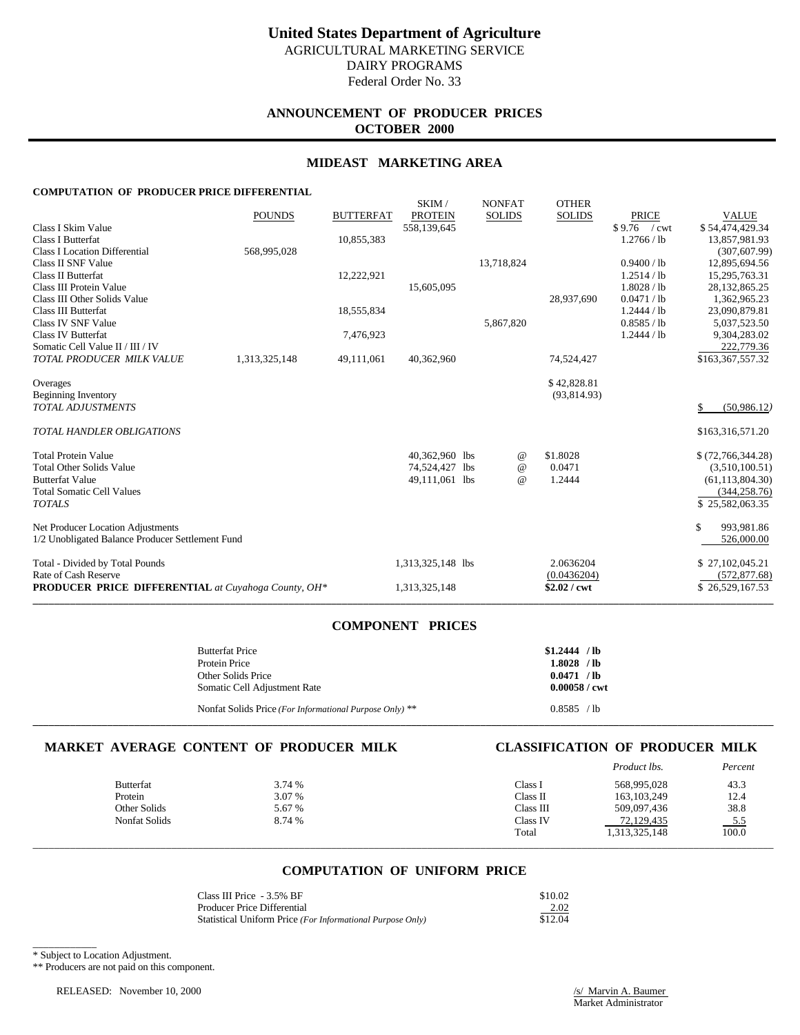# **ANNOUNCEMENT OF PRODUCER PRICES OCTOBER 2000**

### **MIDEAST MARKETING AREA**

SKIM / NONEAT OTHER

### **COMPUTATION OF PRODUCER PRICE DIFFERENTIAL**

|                                                            | <b>POUNDS</b> | <b>BUTTERFAT</b> | OIYUVI /<br><b>PROTEIN</b> | <b>IVUITLAI</b><br><b>SOLIDS</b> | $\sigma$ is the independent of $\sigma$<br><b>SOLIDS</b> | <b>PRICE</b>  | <b>VALUE</b>       |
|------------------------------------------------------------|---------------|------------------|----------------------------|----------------------------------|----------------------------------------------------------|---------------|--------------------|
| Class I Skim Value                                         |               |                  | 558,139,645                |                                  |                                                          | $$9.76$ / cwt | \$54,474,429.34    |
| <b>Class I Butterfat</b>                                   |               | 10,855,383       |                            |                                  |                                                          | 1.2766 / lb   | 13,857,981.93      |
| <b>Class I Location Differential</b>                       | 568,995,028   |                  |                            |                                  |                                                          |               | (307, 607.99)      |
| Class II SNF Value                                         |               |                  |                            | 13,718,824                       |                                                          | 0.9400 / lb   | 12,895,694.56      |
| <b>Class II Butterfat</b>                                  |               | 12,222,921       |                            |                                  |                                                          | 1.2514 / lb   | 15,295,763.31      |
| Class III Protein Value                                    |               |                  | 15,605,095                 |                                  |                                                          | 1.8028 / lb   | 28, 132, 865. 25   |
| Class III Other Solids Value                               |               |                  |                            |                                  | 28,937,690                                               | 0.0471 / lb   | 1,362,965.23       |
| Class III Butterfat                                        |               | 18,555,834       |                            |                                  |                                                          | 1.2444 / lb   | 23,090,879.81      |
| Class IV SNF Value                                         |               |                  |                            | 5,867,820                        |                                                          | 0.8585 / lb   | 5,037,523.50       |
| <b>Class IV Butterfat</b>                                  |               | 7,476,923        |                            |                                  |                                                          | 1.2444 / lb   | 9,304,283.02       |
| Somatic Cell Value II / III / IV                           |               |                  |                            |                                  |                                                          |               | 222,779.36         |
| TOTAL PRODUCER MILK VALUE                                  | 1,313,325,148 | 49,111,061       | 40,362,960                 |                                  | 74,524,427                                               |               | \$163,367,557.32   |
| Overages                                                   |               |                  |                            |                                  | \$42,828.81                                              |               |                    |
| <b>Beginning Inventory</b>                                 |               |                  |                            |                                  | (93, 814.93)                                             |               |                    |
| <b>TOTAL ADJUSTMENTS</b>                                   |               |                  |                            |                                  |                                                          |               | (50,986.12)<br>\$  |
| <b>TOTAL HANDLER OBLIGATIONS</b>                           |               |                  |                            |                                  |                                                          |               | \$163,316,571.20   |
| <b>Total Protein Value</b>                                 |               |                  | 40,362,960 lbs             | @                                | \$1.8028                                                 |               | \$ (72,766,344.28) |
| <b>Total Other Solids Value</b>                            |               |                  | 74,524,427 lbs             | $^{\omega}{}$                    | 0.0471                                                   |               | (3,510,100.51)     |
| <b>Butterfat Value</b>                                     |               |                  | 49,111,061 lbs             | $\omega$                         | 1.2444                                                   |               | (61, 113, 804.30)  |
| <b>Total Somatic Cell Values</b>                           |               |                  |                            |                                  |                                                          |               | (344, 258.76)      |
| <b>TOTALS</b>                                              |               |                  |                            |                                  |                                                          |               | \$25,582,063.35    |
| Net Producer Location Adjustments                          |               |                  |                            |                                  |                                                          |               | \$<br>993,981.86   |
| 1/2 Unobligated Balance Producer Settlement Fund           |               |                  |                            |                                  |                                                          |               | 526,000.00         |
| Total - Divided by Total Pounds                            |               |                  | 1,313,325,148 lbs          |                                  | 2.0636204                                                |               | \$27,102,045.21    |
| Rate of Cash Reserve                                       |               |                  |                            |                                  | (0.0436204)                                              |               | (572, 877.68)      |
| <b>PRODUCER PRICE DIFFERENTIAL</b> at Cuyahoga County, OH* |               |                  | 1,313,325,148              |                                  | $$2.02$ / cwt                                            |               | \$26,529,167.53    |
|                                                            |               |                  |                            |                                  |                                                          |               |                    |

## **COMPONENT PRICES**

| <b>Butterfat Price</b>                                  | $$1,2444$ / lb         |
|---------------------------------------------------------|------------------------|
| Protein Price                                           | $1.8028$ /lb           |
| Other Solids Price                                      | 0.0471 / h             |
| Somatic Cell Adjustment Rate                            | $0.00058 / \text{cwt}$ |
| Nonfat Solids Price (For Informational Purpose Only) ** | 0.8585 / lb            |

**\_\_\_\_\_\_\_\_\_\_\_\_\_\_\_\_\_\_\_\_\_\_\_\_\_\_\_\_\_\_\_\_\_\_\_\_\_\_\_\_\_\_\_\_\_\_\_\_\_\_\_\_\_\_\_\_\_\_\_\_\_\_\_\_\_\_\_\_\_\_\_\_\_\_\_\_\_\_\_\_\_\_\_\_\_\_\_\_\_\_\_\_\_\_\_\_\_\_\_\_\_\_\_\_\_\_\_\_\_\_\_\_\_\_\_\_\_\_\_\_\_\_\_\_\_\_\_\_\_\_\_\_\_\_\_\_\_\_\_**

## **MARKET AVERAGE CONTENT OF PRODUCER MILK CLASSIFICATION OF PRODUCER MILK**

|                  |        |           | Product lbs.  | Percent |
|------------------|--------|-----------|---------------|---------|
| <b>Butterfat</b> | 3.74 % | Class I   | 568,995,028   | 43.3    |
| Protein          | 3.07 % | Class II  | 163, 103, 249 | 12.4    |
| Other Solids     | 5.67 % | Class III | 509,097,436   | 38.8    |
| Nonfat Solids    | 8.74 % | Class IV  | 72,129,435    | $-5.5$  |
|                  |        | Total     | 1,313,325,148 | 100.0   |
|                  |        |           |               |         |

## **COMPUTATION OF UNIFORM PRICE**

| Class III Price - 3.5% BF                                  | \$10.02 |
|------------------------------------------------------------|---------|
| <b>Producer Price Differential</b>                         | 2.02    |
| Statistical Uniform Price (For Informational Purpose Only) | \$12.04 |

\_\_\_\_\_\_\_\_\_\_\_\_ \* Subject to Location Adjustment.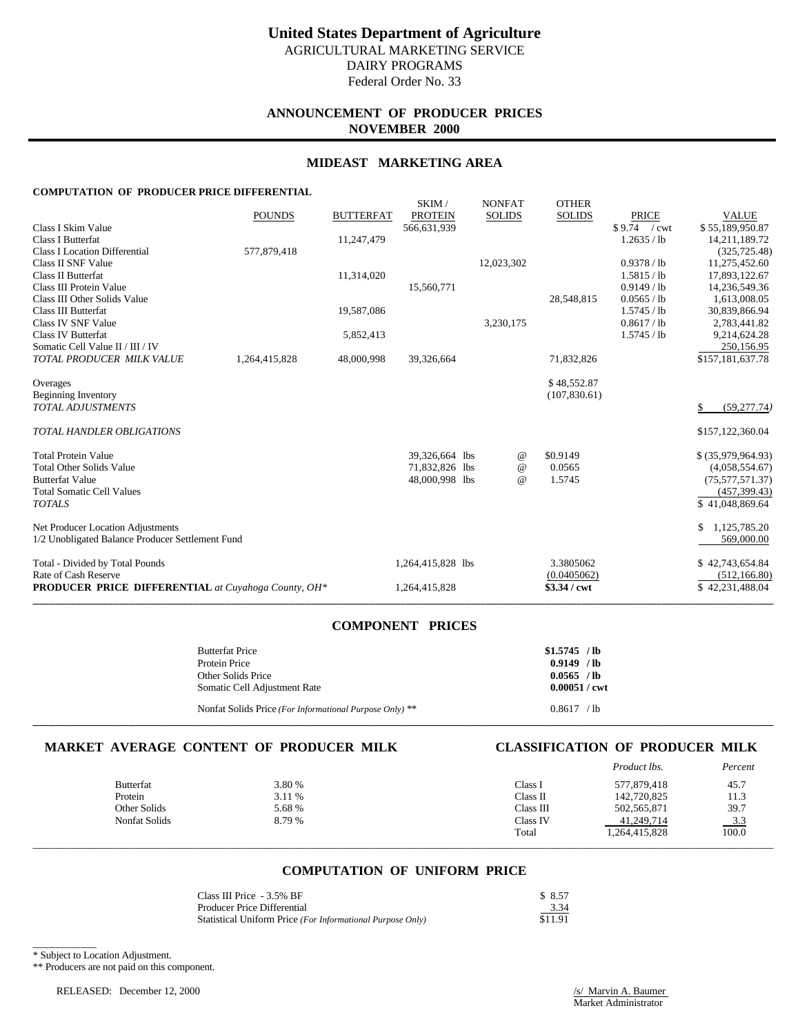# **ANNOUNCEMENT OF PRODUCER PRICES NOVEMBER 2000**

### **MIDEAST MARKETING AREA**

SKIM / NONEAT OTHER

### **COMPUTATION OF PRODUCER PRICE DIFFERENTIAL**

| <b>PRODUCER PRICE DIFFERENTIAL</b> at Cuyahoga County, OH*                                             |               |                         | 1,264,415,828                    |                                  | \$3.34 / cwt                                             |                                                            | \$42,231,488.04                                               |
|--------------------------------------------------------------------------------------------------------|---------------|-------------------------|----------------------------------|----------------------------------|----------------------------------------------------------|------------------------------------------------------------|---------------------------------------------------------------|
| Total - Divided by Total Pounds<br>Rate of Cash Reserve                                                |               |                         | 1,264,415,828 lbs                |                                  | 3.3805062<br>(0.0405062)                                 |                                                            | \$42,743,654.84<br>(512, 166.80)                              |
| Net Producer Location Adjustments<br>1/2 Unobligated Balance Producer Settlement Fund                  |               |                         |                                  |                                  |                                                          |                                                            | 1,125,785.20<br>\$<br>569,000.00                              |
| <b>Butterfat Value</b><br><b>Total Somatic Cell Values</b><br><b>TOTALS</b>                            |               |                         | 48,000,998 lbs                   | $\omega$                         | 1.5745                                                   |                                                            | (75,577,571.37)<br>(457, 399.43)<br>\$41,048,869.64           |
| <b>Total Protein Value</b><br><b>Total Other Solids Value</b>                                          |               |                         | 39,326,664 lbs<br>71,832,826 lbs | @<br>@                           | \$0.9149<br>0.0565                                       |                                                            | $$$ $(35,979,964.93)$<br>(4,058,554.67)                       |
| <b>TOTAL HANDLER OBLIGATIONS</b>                                                                       |               |                         |                                  |                                  |                                                          |                                                            | \$157,122,360.04                                              |
| Overages<br><b>Beginning Inventory</b><br><b>TOTAL ADJUSTMENTS</b>                                     |               |                         |                                  |                                  | \$48,552.87<br>(107, 830.61)                             |                                                            | (59, 277.74)<br>\$                                            |
| Somatic Cell Value II / III / IV<br>TOTAL PRODUCER MILK VALUE                                          | 1,264,415,828 | 48,000,998              | 39,326,664                       |                                  | 71,832,826                                               |                                                            | 250,156.95<br>\$157,181,637.78                                |
| Class III Other Solids Value<br>Class III Butterfat<br>Class IV SNF Value<br><b>Class IV Butterfat</b> |               | 19,587,086<br>5,852,413 |                                  | 3,230,175                        | 28,548,815                                               | 0.0565 / lb<br>1.5745 / lb<br>0.8617 / lb<br>$1.5745$ / lb | 1,613,008.05<br>30,839,866.94<br>2,783,441.82<br>9,214,624.28 |
| Class II SNF Value<br>Class II Butterfat<br>Class III Protein Value                                    |               | 11,314,020              | 15,560,771                       | 12,023,302                       |                                                          | 0.9378 / lb<br>1.5815 / lb<br>0.9149 / lb                  | 11,275,452.60<br>17,893,122.67<br>14,236,549.36               |
| Class I Skim Value<br>Class I Butterfat<br><b>Class I Location Differential</b>                        | 577,879,418   | 11,247,479              | 566,631,939                      |                                  |                                                          | $$9.74$ / cwt<br>1.2635 / lb                               | \$55,189,950.87<br>14,211,189.72<br>(325, 725.48)             |
|                                                                                                        | <b>POUNDS</b> | <b>BUTTERFAT</b>        | onuvi i<br><b>PROTEIN</b>        | <b>IVOIVLAI</b><br><b>SOLIDS</b> | $\sigma$ is the independent of $\sigma$<br><b>SOLIDS</b> | <b>PRICE</b>                                               | <b>VALUE</b>                                                  |

## **COMPONENT PRICES**

| <b>Butterfat Price</b>                                  | $$1.5745$ /lb          |
|---------------------------------------------------------|------------------------|
| Protein Price                                           | $0.9149$ /lb           |
| Other Solids Price                                      | $0.0565$ /lb           |
| Somatic Cell Adjustment Rate                            | $0.00051 / \text{cwt}$ |
| Nonfat Solids Price (For Informational Purpose Only) ** | 0.8617 / h             |

**\_\_\_\_\_\_\_\_\_\_\_\_\_\_\_\_\_\_\_\_\_\_\_\_\_\_\_\_\_\_\_\_\_\_\_\_\_\_\_\_\_\_\_\_\_\_\_\_\_\_\_\_\_\_\_\_\_\_\_\_\_\_\_\_\_\_\_\_\_\_\_\_\_\_\_\_\_\_\_\_\_\_\_\_\_\_\_\_\_\_\_\_\_\_\_\_\_\_\_\_\_\_\_\_\_\_\_\_\_\_\_\_\_\_\_\_\_\_\_\_\_\_\_\_\_\_\_\_\_\_\_\_\_\_\_\_\_\_\_**

# **MARKET AVERAGE CONTENT OF PRODUCER MILK CLASSIFICATION OF PRODUCER MILK**

|                  |        |           | Product lbs.  | Percent |
|------------------|--------|-----------|---------------|---------|
| <b>Butterfat</b> | 3.80 % | Class I   | 577,879,418   | 45.7    |
| Protein          | 3.11 % | Class II  | 142,720,825   | 11.3    |
| Other Solids     | 5.68 % | Class III | 502, 565, 871 | 39.7    |
| Nonfat Solids    | 8.79%  | Class IV  | 41,249,714    | $-3.3$  |
|                  |        | Total     | 1,264,415,828 | 100.0   |
|                  |        |           |               |         |

## **COMPUTATION OF UNIFORM PRICE**

| Class III Price - 3.5% BF                                  | \$ 8.57 |
|------------------------------------------------------------|---------|
| Producer Price Differential                                | 3.34    |
| Statistical Uniform Price (For Informational Purpose Only) | \$11.91 |

\_\_\_\_\_\_\_\_\_\_\_\_ \* Subject to Location Adjustment.